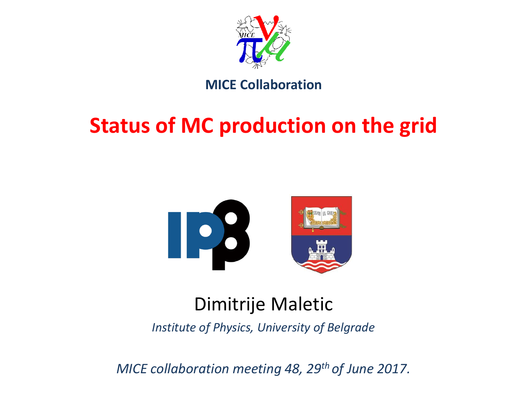

#### **MICE Collaboration**

## **Status of MC production on the grid**



### Dimitrije Maletic

*Institute of Physics, University of Belgrade*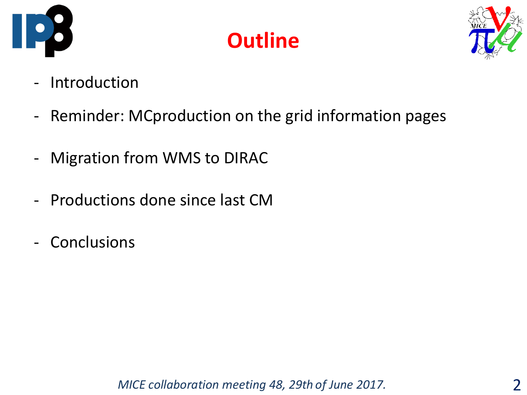





- Introduction
- Reminder: MCproduction on the grid information pages
- Migration from WMS to DIRAC
- Productions done since last CM
- Conclusions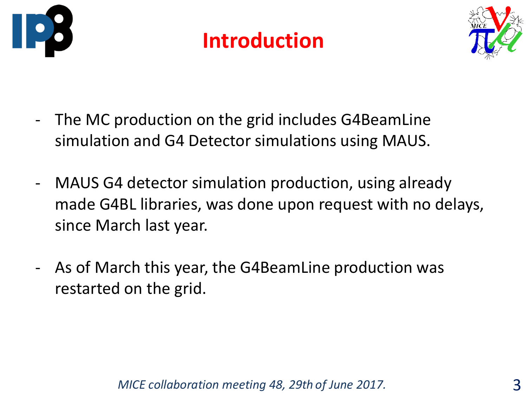





- The MC production on the grid includes G4BeamLine simulation and G4 Detector simulations using MAUS.
- MAUS G4 detector simulation production, using already made G4BL libraries, was done upon request with no delays, since March last year.
- As of March this year, the G4BeamLine production was restarted on the grid.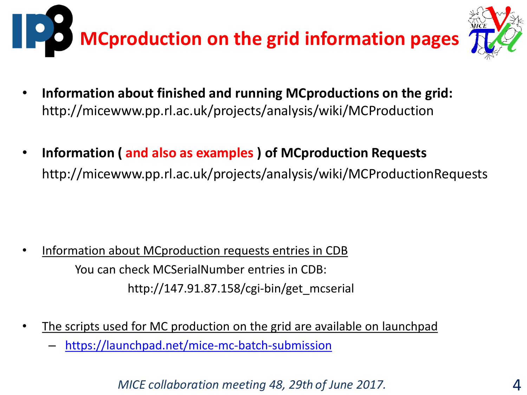

- **Information about finished and running MCproductions on the grid:**  http://micewww.pp.rl.ac.uk/projects/analysis/wiki/MCProduction
- **Information ( and also as examples ) of MCproduction Requests** http://micewww.pp.rl.ac.uk/projects/analysis/wiki/MCProductionRequests

- Information about MCproduction requests entries in CDB You can check MCSerialNumber entries in CDB: http://147.91.87.158/cgi-bin/get\_mcserial
- The scripts used for MC production on the grid are available on launchpad
	- <https://launchpad.net/mice-mc-batch-submission>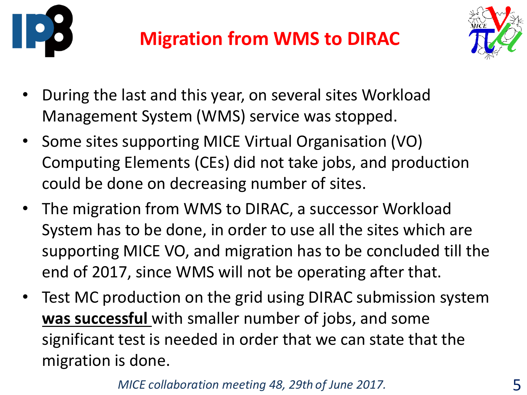



- During the last and this year, on several sites Workload Management System (WMS) service was stopped.
- Some sites supporting MICE Virtual Organisation (VO) Computing Elements (CEs) did not take jobs, and production could be done on decreasing number of sites.
- The migration from WMS to DIRAC, a successor Workload System has to be done, in order to use all the sites which are supporting MICE VO, and migration has to be concluded till the end of 2017, since WMS will not be operating after that.
- Test MC production on the grid using DIRAC submission system **was successful** with smaller number of jobs, and some significant test is needed in order that we can state that the migration is done.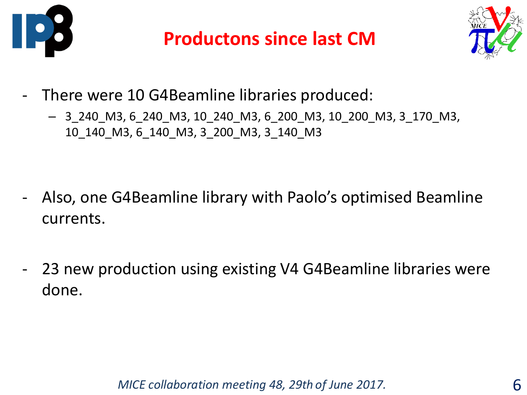

### **Productons since last CM**



- There were 10 G4Beamline libraries produced:
	- 3\_240\_M3, 6\_240\_M3, 10\_240\_M3, 6\_200\_M3, 10\_200\_M3, 3\_170\_M3, 10\_140\_M3, 6\_140\_M3, 3\_200\_M3, 3\_140\_M3

- Also, one G4Beamline library with Paolo's optimised Beamline currents.
- 23 new production using existing V4 G4Beamline libraries were done.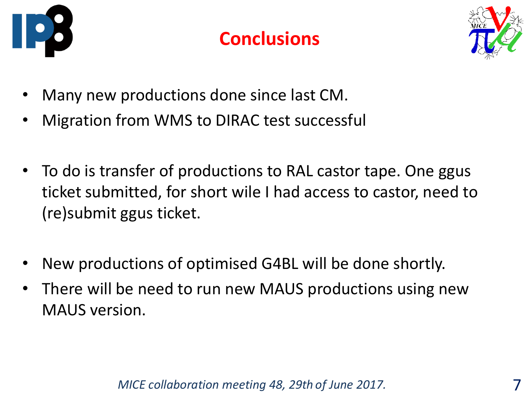

#### **Conclusions**



- Many new productions done since last CM.
- Migration from WMS to DIRAC test successful
- To do is transfer of productions to RAL castor tape. One ggus ticket submitted, for short wile I had access to castor, need to (re)submit ggus ticket.
- New productions of optimised G4BL will be done shortly.
- There will be need to run new MAUS productions using new MAUS version.